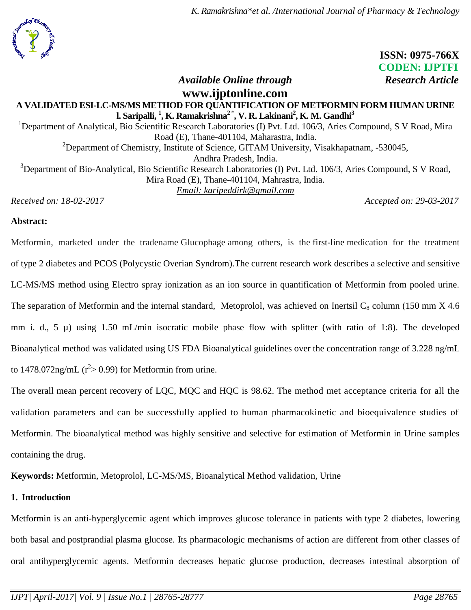*K. Ramakrishna\*et al. /International Journal of Pharmacy & Technology*

 **ISSN: 0975-766X CODEN: IJPTFI**

*Available Online through Research Article* 

## **[www.ijptonline.com](http://www.ijptonline.com/) A VALIDATED ESI-LC-MS/MS METHOD FOR QUANTIFICATION OF METFORMIN FORM HUMAN URINE l. Saripalli, <sup>1</sup> , K. Ramakrishna<sup>2</sup>**\* **, V. R. Lakinani<sup>2</sup> , K. M. Gandhi<sup>3</sup>**

<sup>1</sup>Department of Analytical, Bio Scientific Research Laboratories (I) Pvt. Ltd. 106/3, Aries Compound, S V Road, Mira Road (E), Thane-401104, Maharastra, India. <sup>2</sup>Department of Chemistry, Institute of Science, GITAM University, Visakhapatnam,  $-530045$ , Andhra Pradesh, India. <sup>3</sup>Department of Bio-Analytical, Bio Scientific Research Laboratories (I) Pvt. Ltd. 106/3, Aries Compound, S V Road, Mira Road (E), Thane-401104, Mahrastra, India. *Email: karipeddirk@gmail.com*

*Received on: 18-02-2017 Accepted on: 29-03-2017*

## **Abstract:**

Metformin, marketed under the tradename Glucophage among others, is the [first-line](https://en.wikipedia.org/wiki/First-line_treatment) medication for the treatment of [type 2 diabetes](https://en.wikipedia.org/wiki/Diabetes_mellitus_type_2) and PCOS (Polycystic Overian Syndrom).The current research work describes a selective and sensitive LC-MS/MS method using Electro spray ionization as an ion source in quantification of Metformin from pooled urine. The separation of Metformin and the internal standard, Metoprolol, was achieved on Inertsil  $C_8$  column (150 mm  $X$  4.6 mm i. d., 5  $\mu$ ) using 1.50 mL/min isocratic mobile phase flow with splitter (with ratio of 1:8). The developed Bioanalytical method was validated using US FDA Bioanalytical guidelines over the concentration range of 3.228 ng/mL to 1478.072ng/mL ( $r^2$ > 0.99) for Metformin from urine.

The overall mean percent recovery of LQC, MQC and HQC is 98.62. The method met acceptance criteria for all the validation parameters and can be successfully applied to human pharmacokinetic and bioequivalence studies of Metformin. The bioanalytical method was highly sensitive and selective for estimation of Metformin in Urine samples containing the drug.

**Keywords:** Metformin, Metoprolol, LC-MS/MS, Bioanalytical Method validation, Urine

## **1. Introduction**

Metformin is an anti-hyperglycemic agent which improves glucose tolerance in patients with type 2 [diabetes,](http://www.rxlist.com/script/main/art.asp?articlekey=18055) lowering both basal and [postprandial](http://www.rxlist.com/script/main/art.asp?articlekey=12094) plasma glucose. Its pharmacologic mechanisms of action are different from other classes of oral antihyperglycemic agents. Metformin decreases hepatic glucose production, decreases intestinal absorption of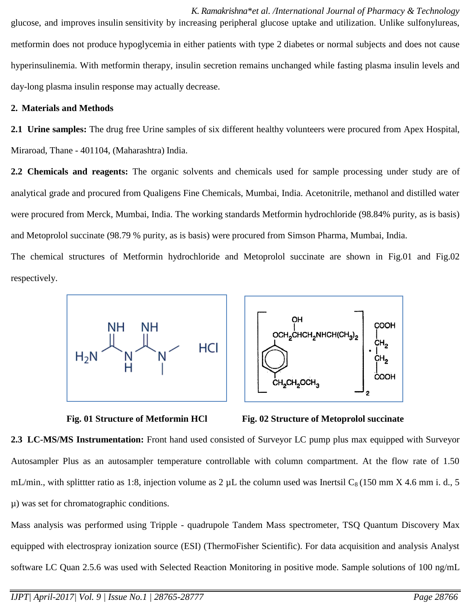*K. Ramakrishna\*et al. /International Journal of Pharmacy & Technology* glucose, and improves [insulin](http://www.rxlist.com/script/main/art.asp?articlekey=3989) sensitivity by increasing peripheral glucose uptake and utilization. Unlike sulfonylureas, metformin does not produce [hypoglycemia](http://www.rxlist.com/script/main/art.asp?articlekey=3856) in either patients with type 2 [diabetes](http://www.rxlist.com/script/main/art.asp?articlekey=11148) or normal subjects and does not cause hyperinsulinemia. With metformin therapy, insulin secretion remains unchanged while fasting plasma insulin levels and day-long plasma insulin response may actually decrease.

### **2. Materials and Methods**

**2.1 Urine samples:** The drug free Urine samples of six different healthy volunteers were procured from Apex Hospital, Miraroad, Thane - 401104, (Maharashtra) India.

**2.2 Chemicals and reagents:** The organic solvents and chemicals used for sample processing under study are of analytical grade and procured from Qualigens Fine Chemicals, Mumbai, India. Acetonitrile, methanol and distilled water were procured from Merck, Mumbai, India. The working standards Metformin hydrochloride (98.84% purity, as is basis) and Metoprolol succinate (98.79 % purity, as is basis) were procured from Simson Pharma, Mumbai, India.

The chemical structures of Metformin hydrochloride and Metoprolol succinate are shown in Fig.01 and Fig.02 respectively.







**Fig. 01 Structure of Metformin HCl Fig. 02 Structure of Metoprolol succinate**

**2.3 LC-MS/MS Instrumentation:** Front hand used consisted of Surveyor LC pump plus max equipped with Surveyor Autosampler Plus as an autosampler temperature controllable with column compartment. At the flow rate of 1.50 mL/min., with splittter ratio as 1:8, injection volume as 2  $\mu$ L the column used was Inertsil C<sub>8</sub> (150 mm X 4.6 mm i. d., 5 µ) was set for chromatographic conditions.

Mass analysis was performed using Tripple - quadrupole Tandem Mass spectrometer, TSQ Quantum Discovery Max equipped with electrospray ionization source (ESI) (ThermoFisher Scientific). For data acquisition and analysis Analyst software LC Quan 2.5.6 was used with Selected Reaction Monitoring in positive mode. Sample solutions of 100 ng/mL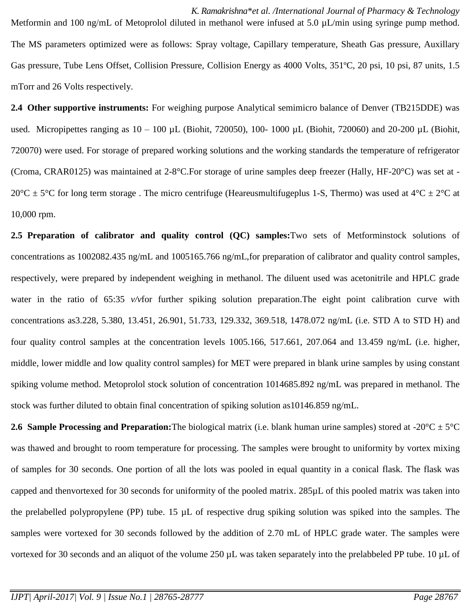*K. Ramakrishna\*et al. /International Journal of Pharmacy & Technology* Metformin and 100 ng/mL of Metoprolol diluted in methanol were infused at 5.0  $\mu$ L/min using syringe pump method. The MS parameters optimized were as follows: Spray voltage, Capillary temperature, Sheath Gas pressure, Auxillary Gas pressure, Tube Lens Offset, Collision Pressure, Collision Energy as 4000 Volts, 351ºC, 20 psi, 10 psi, 87 units, 1.5 mTorr and 26 Volts respectively.

**2.4 Other supportive instruments:** For weighing purpose Analytical semimicro balance of Denver (TB215DDE) was used. Micropipettes ranging as  $10 - 100 \mu L$  (Biohit, 720050), 100-1000  $\mu L$  (Biohit, 720060) and 20-200  $\mu L$  (Biohit, 720070) were used. For storage of prepared working solutions and the working standards the temperature of refrigerator (Croma, CRAR0125) was maintained at 2-8°C.For storage of urine samples deep freezer (Hally, HF-20°C) was set at -  $20^{\circ}$ C  $\pm$  5°C for long term storage. The micro centrifuge (Heareusmultifugeplus 1-S, Thermo) was used at 4°C  $\pm$  2°C at 10,000 rpm.

**2.5 Preparation of calibrator and quality control (QC) samples:**Two sets of Metforminstock solutions of concentrations as 1002082.435 ng/mL and 1005165.766 ng/mL,for preparation of calibrator and quality control samples, respectively, were prepared by independent weighing in methanol. The diluent used was acetonitrile and HPLC grade water in the ratio of 65:35 *v/v*for further spiking solution preparation.The eight point calibration curve with concentrations as3.228, 5.380, 13.451, 26.901, 51.733, 129.332, 369.518, 1478.072 ng/mL (i.e. STD A to STD H) and four quality control samples at the concentration levels 1005.166, 517.661, 207.064 and 13.459 ng/mL (i.e. higher, middle, lower middle and low quality control samples) for MET were prepared in blank urine samples by using constant spiking volume method. Metoprolol stock solution of concentration 1014685.892 ng/mL was prepared in methanol. The stock was further diluted to obtain final concentration of spiking solution as10146.859 ng/mL.

**2.6 Sample Processing and Preparation:** The biological matrix (i.e. blank human urine samples) stored at -20 $^{\circ}$ C  $\pm$  5 $^{\circ}$ C was thawed and brought to room temperature for processing. The samples were brought to uniformity by vortex mixing of samples for 30 seconds. One portion of all the lots was pooled in equal quantity in a conical flask. The flask was capped and thenvortexed for 30 seconds for uniformity of the pooled matrix. 285µL of this pooled matrix was taken into the prelabelled polypropylene (PP) tube. 15  $\mu$ L of respective drug spiking solution was spiked into the samples. The samples were vortexed for 30 seconds followed by the addition of 2.70 mL of HPLC grade water. The samples were vortexed for 30 seconds and an aliquot of the volume 250 µL was taken separately into the prelabbeled PP tube. 10 µL of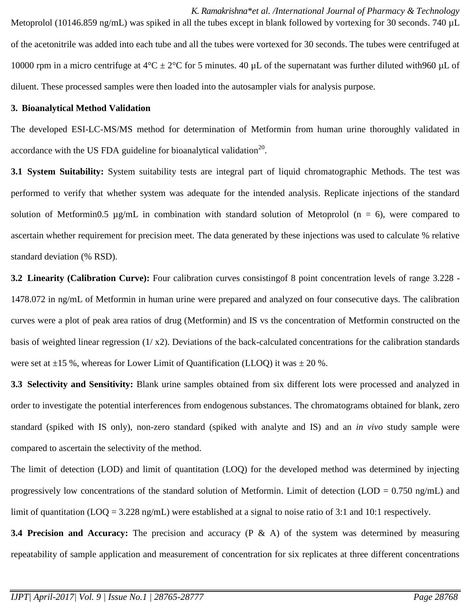*K. Ramakrishna\*et al. /International Journal of Pharmacy & Technology* Metoprolol (10146.859 ng/mL) was spiked in all the tubes except in blank followed by vortexing for 30 seconds. 740 µL of the acetonitrile was added into each tube and all the tubes were vortexed for 30 seconds. The tubes were centrifuged at 10000 rpm in a micro centrifuge at  $4^{\circ}C \pm 2^{\circ}C$  for 5 minutes. 40 µL of the supernatant was further diluted with960 µL of diluent. These processed samples were then loaded into the autosampler vials for analysis purpose.

#### **3. Bioanalytical Method Validation**

The developed ESI-LC-MS/MS method for determination of Metformin from human urine thoroughly validated in accordance with the US FDA guideline for bioanalytical validation<sup>20</sup>.

**3.1 System Suitability:** System suitability tests are integral part of liquid chromatographic Methods. The test was performed to verify that whether system was adequate for the intended analysis. Replicate injections of the standard solution of Metformin0.5  $\mu$ g/mL in combination with standard solution of Metoprolol (n = 6), were compared to ascertain whether requirement for precision meet. The data generated by these injections was used to calculate % relative standard deviation (% RSD).

**3.2 Linearity (Calibration Curve):** Four calibration curves consistingof 8 point concentration levels of range 3.228 - 1478.072 in ng/mL of Metformin in human urine were prepared and analyzed on four consecutive days. The calibration curves were a plot of peak area ratios of drug (Metformin) and IS vs the concentration of Metformin constructed on the basis of weighted linear regression  $(1/x2)$ . Deviations of the back-calculated concentrations for the calibration standards were set at  $\pm 15$  %, whereas for Lower Limit of Quantification (LLOQ) it was  $\pm 20$  %.

**3.3 Selectivity and Sensitivity:** Blank urine samples obtained from six different lots were processed and analyzed in order to investigate the potential interferences from endogenous substances. The chromatograms obtained for blank, zero standard (spiked with IS only), non-zero standard (spiked with analyte and IS) and an *in vivo* study sample were compared to ascertain the selectivity of the method.

The limit of detection (LOD) and limit of quantitation (LOQ) for the developed method was determined by injecting progressively low concentrations of the standard solution of Metformin. Limit of detection (LOD =  $0.750$  ng/mL) and limit of quantitation (LOQ = 3.228 ng/mL) were established at a signal to noise ratio of 3:1 and 10:1 respectively.

**3.4 Precision and Accuracy:** The precision and accuracy (P & A) of the system was determined by measuring repeatability of sample application and measurement of concentration for six replicates at three different concentrations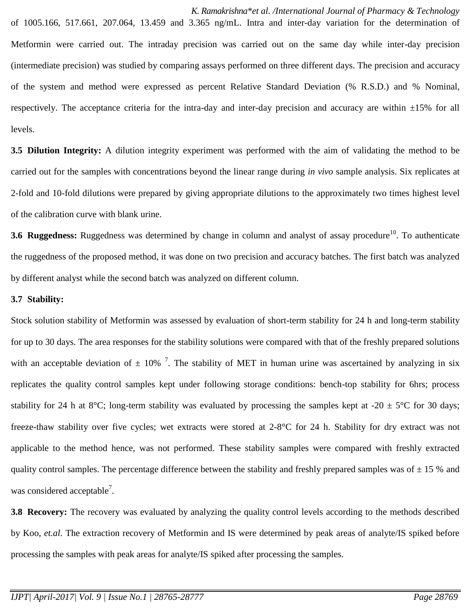*K. Ramakrishna\*et al. /International Journal of Pharmacy & Technology* of 1005.166, 517.661, 207.064, 13.459 and 3.365 ng/mL. Intra and inter-day variation for the determination of Metformin were carried out. The intraday precision was carried out on the same day while inter-day precision (intermediate precision) was studied by comparing assays performed on three different days. The precision and accuracy of the system and method were expressed as percent Relative Standard Deviation (% R.S.D.) and % Nominal, respectively. The acceptance criteria for the intra-day and inter-day precision and accuracy are within ±15% for all levels.

**3.5 Dilution Integrity:** A dilution integrity experiment was performed with the aim of validating the method to be carried out for the samples with concentrations beyond the linear range during *in vivo* sample analysis. Six replicates at 2-fold and 10-fold dilutions were prepared by giving appropriate dilutions to the approximately two times highest level of the calibration curve with blank urine.

**3.6** Ruggedness: Ruggedness was determined by change in column and analyst of assay procedure<sup>10</sup>. To authenticate the ruggedness of the proposed method, it was done on two precision and accuracy batches. The first batch was analyzed by different analyst while the second batch was analyzed on different column.

### **3.7 Stability:**

Stock solution stability of Metformin was assessed by evaluation of short-term stability for 24 h and long-term stability for up to 30 days. The area responses for the stability solutions were compared with that of the freshly prepared solutions with an acceptable deviation of  $\pm$  10%  $^7$ . The stability of MET in human urine was ascertained by analyzing in six replicates the quality control samples kept under following storage conditions: bench-top stability for 6hrs; process stability for 24 h at 8°C; long-term stability was evaluated by processing the samples kept at -20  $\pm$  5°C for 30 days; freeze-thaw stability over five cycles; wet extracts were stored at 2-8°C for 24 h. Stability for dry extract was not applicable to the method hence, was not performed. These stability samples were compared with freshly extracted quality control samples. The percentage difference between the stability and freshly prepared samples was of  $\pm$  15 % and was considered acceptable<sup>7</sup>.

**3.8 Recovery:** The recovery was evaluated by analyzing the quality control levels according to the methods described by Koo, *et.al*. The extraction recovery of Metformin and IS were determined by peak areas of analyte/IS spiked before processing the samples with peak areas for analyte/IS spiked after processing the samples.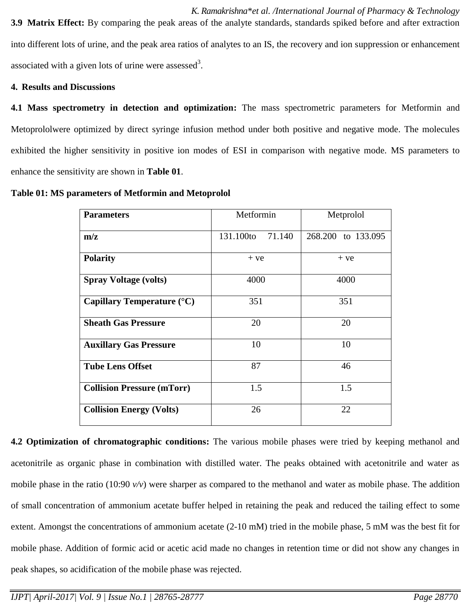*K. Ramakrishna\*et al. /International Journal of Pharmacy & Technology* **3.9 Matrix Effect:** By comparing the peak areas of the analyte standards, standards spiked before and after extraction into different lots of urine, and the peak area ratios of analytes to an IS, the recovery and ion suppression or enhancement associated with a given lots of urine were assessed<sup>3</sup>.

## **4. Results and Discussions**

**4.1 Mass spectrometry in detection and optimization:** The mass spectrometric parameters for Metformin and Metoprololwere optimized by direct syringe infusion method under both positive and negative mode. The molecules exhibited the higher sensitivity in positive ion modes of ESI in comparison with negative mode. MS parameters to enhance the sensitivity are shown in **Table 01**.

**Table 01: MS parameters of Metformin and Metoprolol**

| <b>Parameters</b>                   | Metformin           | Metprolol          |  |  |
|-------------------------------------|---------------------|--------------------|--|--|
| m/z                                 | 131.100to<br>71.140 | 268.200 to 133.095 |  |  |
| <b>Polarity</b>                     | $+ve$               | $+ve$              |  |  |
| <b>Spray Voltage (volts)</b>        | 4000                | 4000               |  |  |
| Capillary Temperature $(^{\circ}C)$ | 351                 | 351                |  |  |
| <b>Sheath Gas Pressure</b>          | 20                  | 20                 |  |  |
| <b>Auxillary Gas Pressure</b>       | 10                  | 10                 |  |  |
| <b>Tube Lens Offset</b>             | 87                  | 46                 |  |  |
| <b>Collision Pressure (mTorr)</b>   | 1.5                 | 1.5                |  |  |
| <b>Collision Energy (Volts)</b>     | 26                  | 22                 |  |  |

**4.2 Optimization of chromatographic conditions:** The various mobile phases were tried by keeping methanol and acetonitrile as organic phase in combination with distilled water. The peaks obtained with acetonitrile and water as mobile phase in the ratio (10:90  $v/v$ ) were sharper as compared to the methanol and water as mobile phase. The addition of small concentration of ammonium acetate buffer helped in retaining the peak and reduced the tailing effect to some extent. Amongst the concentrations of ammonium acetate (2-10 mM) tried in the mobile phase, 5 mM was the best fit for mobile phase. Addition of formic acid or acetic acid made no changes in retention time or did not show any changes in peak shapes, so acidification of the mobile phase was rejected.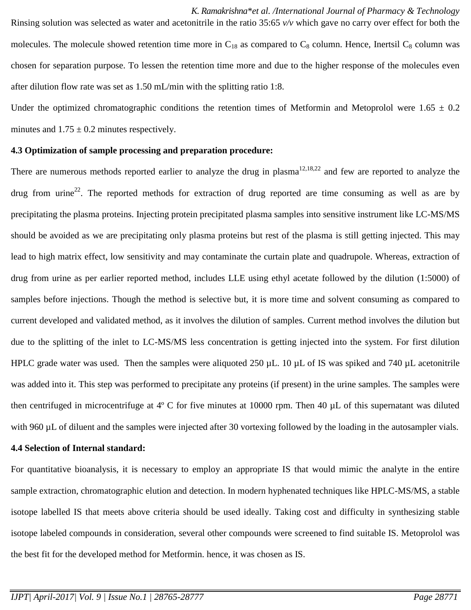*K. Ramakrishna\*et al. /International Journal of Pharmacy & Technology* Rinsing solution was selected as water and acetonitrile in the ratio 35:65 *v/v* which gave no carry over effect for both the molecules. The molecule showed retention time more in  $C_{18}$  as compared to  $C_8$  column. Hence, Inertsil  $C_8$  column was chosen for separation purpose. To lessen the retention time more and due to the higher response of the molecules even after dilution flow rate was set as 1.50 mL/min with the splitting ratio 1:8.

Under the optimized chromatographic conditions the retention times of Metformin and Metoprolol were  $1.65 \pm 0.2$ minutes and  $1.75 \pm 0.2$  minutes respectively.

#### **4.3 Optimization of sample processing and preparation procedure:**

There are numerous methods reported earlier to analyze the drug in plasma $12,18,22$  and few are reported to analyze the drug from urine<sup>22</sup>. The reported methods for extraction of drug reported are time consuming as well as are by precipitating the plasma proteins. Injecting protein precipitated plasma samples into sensitive instrument like LC-MS/MS should be avoided as we are precipitating only plasma proteins but rest of the plasma is still getting injected. This may lead to high matrix effect, low sensitivity and may contaminate the curtain plate and quadrupole. Whereas, extraction of drug from urine as per earlier reported method, includes LLE using ethyl acetate followed by the dilution (1:5000) of samples before injections. Though the method is selective but, it is more time and solvent consuming as compared to current developed and validated method, as it involves the dilution of samples. Current method involves the dilution but due to the splitting of the inlet to LC-MS/MS less concentration is getting injected into the system. For first dilution HPLC grade water was used. Then the samples were aliquoted 250 µL. 10 µL of IS was spiked and 740 µL acetonitrile was added into it. This step was performed to precipitate any proteins (if present) in the urine samples. The samples were then centrifuged in microcentrifuge at 4º C for five minutes at 10000 rpm. Then 40 µL of this supernatant was diluted with 960 µL of diluent and the samples were injected after 30 vortexing followed by the loading in the autosampler vials.

#### **4.4 Selection of Internal standard:**

For quantitative bioanalysis, it is necessary to employ an appropriate IS that would mimic the analyte in the entire sample extraction, chromatographic elution and detection. In modern hyphenated techniques like HPLC-MS/MS, a stable isotope labelled IS that meets above criteria should be used ideally. Taking cost and difficulty in synthesizing stable isotope labeled compounds in consideration, several other compounds were screened to find suitable IS. Metoprolol was the best fit for the developed method for Metformin. hence, it was chosen as IS.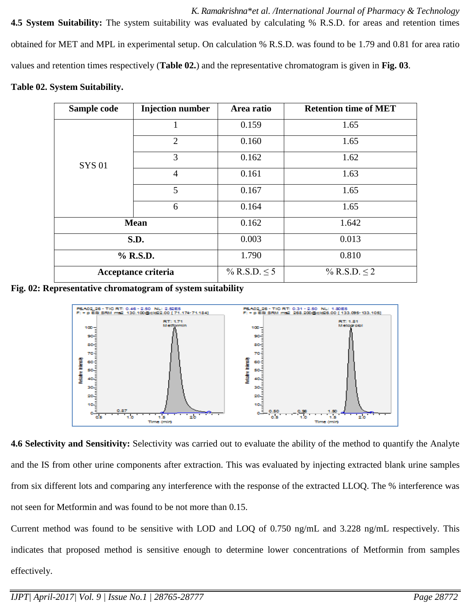*K. Ramakrishna\*et al. /International Journal of Pharmacy & Technology* **4.5 System Suitability:** The system suitability was evaluated by calculating % R.S.D. for areas and retention times obtained for MET and MPL in experimental setup. On calculation % R.S.D. was found to be 1.79 and 0.81 for area ratio values and retention times respectively (**Table 02.**) and the representative chromatogram is given in **Fig. 03**.

## **Table 02. System Suitability.**

| Sample code         | <b>Injection number</b> | Area ratio        | <b>Retention time of MET</b> |
|---------------------|-------------------------|-------------------|------------------------------|
|                     |                         | 0.159             | 1.65                         |
|                     | 2                       | 0.160             | 1.65                         |
| <b>SYS01</b>        | 3                       | 0.162<br>1.62     |                              |
|                     | $\overline{4}$          | 0.161             | 1.63                         |
|                     | 5                       | 0.167             | 1.65                         |
|                     | 6                       | 0.164             | 1.65                         |
| <b>Mean</b>         |                         | 0.162             | 1.642                        |
| S.D.                |                         | 0.003             | 0.013                        |
| % R.S.D.            |                         | 1.790             | 0.810                        |
| Acceptance criteria |                         | % R.S.D. $\leq 5$ | % R.S.D. $\leq 2$            |

**Fig. 02: Representative chromatogram of system suitability**



**4.6 Selectivity and Sensitivity:** Selectivity was carried out to evaluate the ability of the method to quantify the Analyte and the IS from other urine components after extraction. This was evaluated by injecting extracted blank urine samples from six different lots and comparing any interference with the response of the extracted LLOQ. The % interference was not seen for Metformin and was found to be not more than 0.15.

Current method was found to be sensitive with LOD and LOQ of 0.750 ng/mL and 3.228 ng/mL respectively. This indicates that proposed method is sensitive enough to determine lower concentrations of Metformin from samples effectively.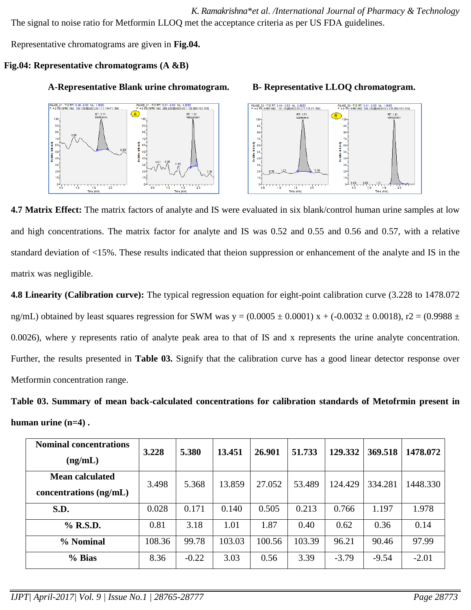*K. Ramakrishna\*et al. /International Journal of Pharmacy & Technology* The signal to noise ratio for Metformin LLOQ met the acceptance criteria as per US FDA guidelines.

Representative chromatograms are given in **Fig.04.**

# **Fig.04: Representative chromatograms (A &B)**

## **A-Representative Blank urine chromatogram. B- Representative LLOQ chromatogram.**





**4.7 Matrix Effect:** The matrix factors of analyte and IS were evaluated in six blank/control human urine samples at low and high concentrations. The matrix factor for analyte and IS was 0.52 and 0.55 and 0.56 and 0.57, with a relative standard deviation of <15%. These results indicated that theion suppression or enhancement of the analyte and IS in the matrix was negligible.

**4.8 Linearity (Calibration curve):** The typical regression equation for eight-point calibration curve (3.228 to 1478.072 ng/mL) obtained by least squares regression for SWM was  $y = (0.0005 \pm 0.0001) x + (-0.0032 \pm 0.0018)$ , r2 = (0.9988 ± 0.0026), where y represents ratio of analyte peak area to that of IS and x represents the urine analyte concentration. Further, the results presented in **Table 03.** Signify that the calibration curve has a good linear detector response over Metformin concentration range.

**Table 03. Summary of mean back-calculated concentrations for calibration standards of Metofrmin present in human urine (n=4) .**

| <b>Nominal concentrations</b><br>(ng/mL)           | 3.228  | 5.380   | 13.451 | 26.901 | 51.733 | 129.332 | 369.518 | 1478.072 |
|----------------------------------------------------|--------|---------|--------|--------|--------|---------|---------|----------|
| <b>Mean calculated</b><br>concentrations $(ng/mL)$ | 3.498  | 5.368   | 13.859 | 27.052 | 53.489 | 124.429 | 334.281 | 1448.330 |
| S.D.                                               | 0.028  | 0.171   | 0.140  | 0.505  | 0.213  | 0.766   | 1.197   | 1.978    |
| % R.S.D.                                           | 0.81   | 3.18    | 1.01   | 1.87   | 0.40   | 0.62    | 0.36    | 0.14     |
| % Nominal                                          | 108.36 | 99.78   | 103.03 | 100.56 | 103.39 | 96.21   | 90.46   | 97.99    |
| % Bias                                             | 8.36   | $-0.22$ | 3.03   | 0.56   | 3.39   | $-3.79$ | $-9.54$ | $-2.01$  |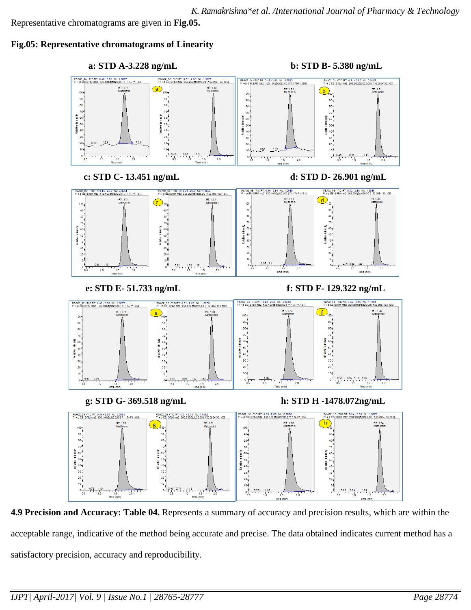Representative chromatograms are given in **Fig.05.**

## **Fig.05: Representative chromatograms of Linearity**



**4.9 Precision and Accuracy: Table 04.** Represents a summary of accuracy and precision results, which are within the acceptable range, indicative of the method being accurate and precise. The data obtained indicates current method has a satisfactory precision, accuracy and reproducibility.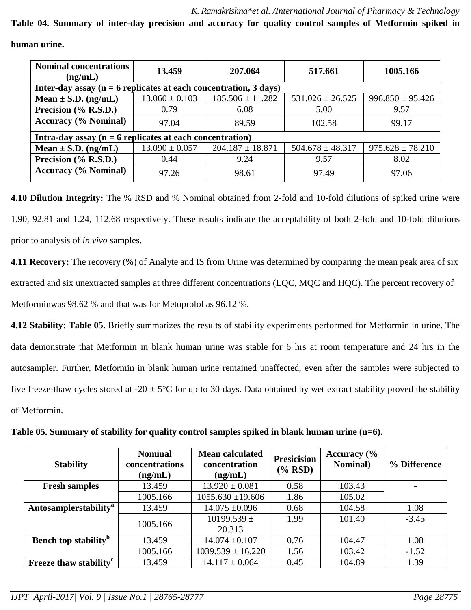**Table 04. Summary of inter-day precision and accuracy for quality control samples of Metformin spiked in** 

| <b>Nominal concentrations</b><br>(ng/mL)                            | 13.459             | 207.064              | 517.661              | 1005.166             |  |  |  |  |
|---------------------------------------------------------------------|--------------------|----------------------|----------------------|----------------------|--|--|--|--|
| Inter-day assay ( $n = 6$ replicates at each concentration, 3 days) |                    |                      |                      |                      |  |  |  |  |
| Mean $\pm$ S.D. (ng/mL)                                             | $13.060 \pm 0.103$ | $185.506 \pm 11.282$ | $531.026 \pm 26.525$ | $996.850 \pm 95.426$ |  |  |  |  |
| Precision (% R.S.D.)                                                | 0.79               | 6.08                 | 5.00                 | 9.57                 |  |  |  |  |
| <b>Accuracy (% Nominal)</b>                                         | 97.04              | 89.59                | 102.58               | 99.17                |  |  |  |  |
| Intra-day assay ( $n = 6$ replicates at each concentration)         |                    |                      |                      |                      |  |  |  |  |
| Mean $\pm$ S.D. (ng/mL)                                             | $13.090 \pm 0.057$ | $204.187 \pm 18.871$ | $504.678 \pm 48.317$ | $975.628 \pm 78.210$ |  |  |  |  |
| Precision (% R.S.D.)                                                | 0.44               | 9.24                 | 9.57                 | 8.02                 |  |  |  |  |
| <b>Accuracy</b> (% <b>Nominal</b> )                                 | 97.26              | 98.61                | 97.49                | 97.06                |  |  |  |  |

**human urine.**

**4.10 Dilution Integrity:** The % RSD and % Nominal obtained from 2-fold and 10-fold dilutions of spiked urine were 1.90, 92.81 and 1.24, 112.68 respectively. These results indicate the acceptability of both 2-fold and 10-fold dilutions prior to analysis of *in vivo* samples.

**4.11 Recovery:** The recovery (%) of Analyte and IS from Urine was determined by comparing the mean peak area of six extracted and six unextracted samples at three different concentrations (LQC, MQC and HQC). The percent recovery of Metforminwas 98.62 % and that was for Metoprolol as 96.12 %.

**4.12 Stability: Table 05.** Briefly summarizes the results of stability experiments performed for Metformin in urine. The data demonstrate that Metformin in blank human urine was stable for 6 hrs at room temperature and 24 hrs in the autosampler. Further, Metformin in blank human urine remained unaffected, even after the samples were subjected to five freeze-thaw cycles stored at -20  $\pm$  5°C for up to 30 days. Data obtained by wet extract stability proved the stability of Metformin.

| <b>Stability</b>                        | <b>Nominal</b><br>concentrations<br>(ng/mL) | <b>Mean calculated</b><br>concentration<br>(ng/mL) | <b>Presicision</b><br>$(\%$ RSD) | Accuracy $\frac{6}{6}$<br><b>Nominal</b> ) | % Difference |
|-----------------------------------------|---------------------------------------------|----------------------------------------------------|----------------------------------|--------------------------------------------|--------------|
| <b>Fresh samples</b>                    | 13.459                                      | $13.920 \pm 0.081$                                 | 0.58                             | 103.43                                     |              |
|                                         | 1005.166                                    | $1055.630 \pm 19.606$                              | 1.86                             | 105.02                                     |              |
| Autosamplerstability <sup>a</sup>       | 13.459                                      | $14.075 \pm 0.096$                                 | 0.68                             | 104.58                                     | 1.08         |
|                                         | 1005.166                                    | $10199.539 \pm$<br>20.313                          | 1.99                             | 101.40                                     | $-3.45$      |
| <b>Bench top stability</b> <sup>b</sup> | 13.459                                      | $14.074 \pm 0.107$                                 | 0.76                             | 104.47                                     | 1.08         |
|                                         | 1005.166                                    | $1039.539 \pm 16.220$                              | 1.56                             | 103.42                                     | $-1.52$      |
| Freeze thaw stability <sup>c</sup>      | 13.459                                      | $14.117 \pm 0.064$                                 | 0.45                             | 104.89                                     | 1.39         |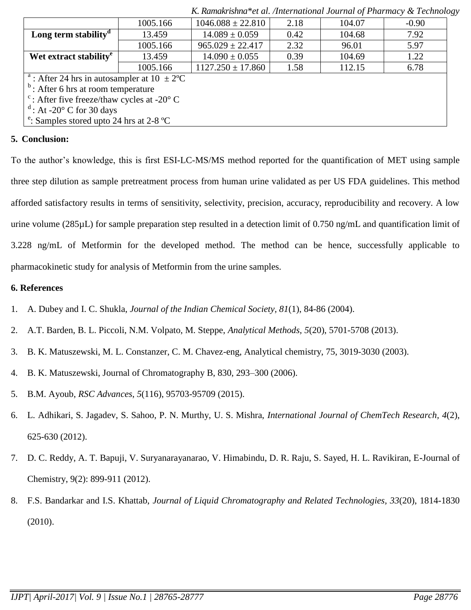|                                                                         | 1005.166 | $1046.088 \pm 22.810$ | 2.18 | 104.07 | $-0.90$ |  |
|-------------------------------------------------------------------------|----------|-----------------------|------|--------|---------|--|
| Long term stability <sup><math>d</math></sup>                           | 13.459   | $14.089 \pm 0.059$    | 0.42 | 104.68 | 7.92    |  |
|                                                                         | 1005.166 | $965.029 \pm 22.417$  | 2.32 | 96.01  | 5.97    |  |
| Wet extract stability <sup>e</sup>                                      | 13.459   | $14.090 \pm 0.055$    | 0.39 | 104.69 | 1.22    |  |
|                                                                         | 1005.166 | $1127.250 \pm 17.860$ | 1.58 | 112.15 | 6.78    |  |
| <sup>a</sup> : After 24 hrs in autosampler at $10 \pm 2$ <sup>o</sup> C |          |                       |      |        |         |  |
| $b$ : After 6 hrs at room temperature                                   |          |                       |      |        |         |  |
| $\degree$ : After five freeze/thaw cycles at -20 $\degree$ C            |          |                       |      |        |         |  |
| $\mathrm{d}$ : At -20 $\mathrm{^{\circ}}$ C for 30 days                 |          |                       |      |        |         |  |
| <sup>e</sup> : Samples stored upto 24 hrs at 2-8 <sup>o</sup> C         |          |                       |      |        |         |  |

*K. Ramakrishna\*et al. /International Journal of Pharmacy & Technology*

## **5. Conclusion:**

To the author's knowledge, this is first ESI-LC-MS/MS method reported for the quantification of MET using sample three step dilution as sample pretreatment process from human urine validated as per US FDA guidelines. This method afforded satisfactory results in terms of sensitivity, selectivity, precision, accuracy, reproducibility and recovery. A low urine volume (285µL) for sample preparation step resulted in a detection limit of 0.750 ng/mL and quantification limit of 3.228 ng/mL of Metformin for the developed method. The method can be hence, successfully applicable to pharmacokinetic study for analysis of Metformin from the urine samples.

## **6. References**

- 1. A. Dubey and I. C. Shukla, *Journal of the Indian Chemical Society, 81*(1), 84-86 (2004).
- 2. A.T. Barden, B. L. Piccoli, N.M. Volpato, M. Steppe, *Analytical Methods, 5*(20), 5701-5708 (2013).
- 3. B. K. Matuszewski, M. L. Constanzer, C. M. Chavez-eng, Analytical chemistry, 75, 3019-3030 (2003).
- 4. B. K. Matuszewski, Journal of Chromatography B, 830, 293–300 (2006).
- 5. B.M. Ayoub, *RSC Advances*, *5*(116), 95703-95709 (2015).
- 6. L. Adhikari, S. Jagadev, S. Sahoo, P. N. Murthy, U. S. Mishra, *International Journal of ChemTech Research, 4*(2), 625-630 (2012).
- 7. D. C. Reddy, A. T. Bapuji, V. Suryanarayanarao, V. Himabindu, D. R. Raju, S. Sayed, H. L. Ravikiran, E**-**Journal of Chemistry, 9(2): 899-911 (2012).
- 8. F.S. Bandarkar and I.S. Khattab, *Journal of Liquid Chromatography and Related Technologies, 33*(20), 1814-1830 (2010).